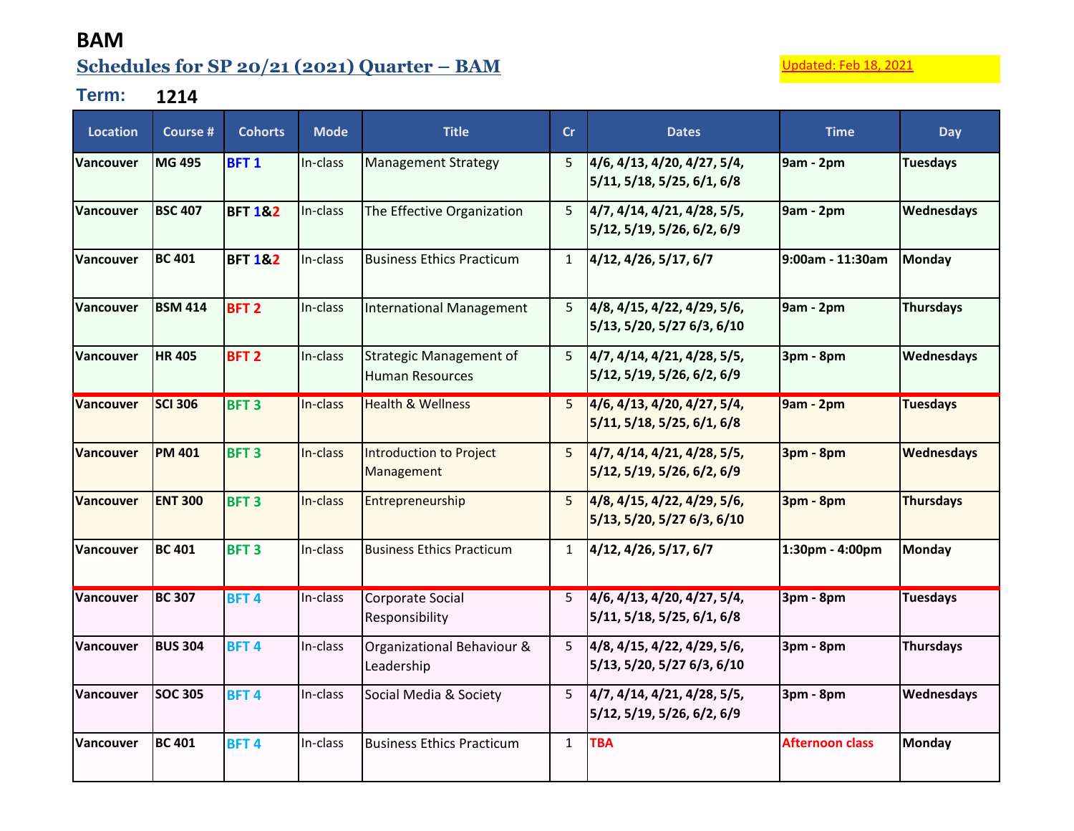## **BAM Schedules for SP 20/21 (2021) Quarter – BAM** Updated: Feb 18, 2021

## **Term: 1214**

| Location         | Course #       | <b>Cohorts</b>     | <b>Mode</b> | <b>Title</b>                                             | cr             | <b>Dates</b>                                              | <b>Time</b>            | Day               |
|------------------|----------------|--------------------|-------------|----------------------------------------------------------|----------------|-----------------------------------------------------------|------------------------|-------------------|
| <b>Vancouver</b> | <b>MG 495</b>  | <b>BFT1</b>        | In-class    | <b>Management Strategy</b>                               | 5              | 4/6, 4/13, 4/20, 4/27, 5/4,<br>5/11, 5/18, 5/25, 6/1, 6/8 | 9am - 2pm              | <b>Tuesdays</b>   |
| Vancouver        | <b>BSC 407</b> | <b>BFT 1&amp;2</b> | In-class    | The Effective Organization                               | 5 <sup>1</sup> | 4/7, 4/14, 4/21, 4/28, 5/5,<br>5/12, 5/19, 5/26, 6/2, 6/9 | 9am - 2pm              | Wednesdays        |
| <b>Vancouver</b> | <b>BC 401</b>  | <b>BFT 1&amp;2</b> | In-class    | <b>Business Ethics Practicum</b>                         | 1              | 4/12, 4/26, 5/17, 6/7                                     | l9:00am - 11:30am      | <b>Monday</b>     |
| <b>Vancouver</b> | <b>BSM 414</b> | BFT <sub>2</sub>   | In-class    | <b>International Management</b>                          | 5 <sup>1</sup> | 4/8, 4/15, 4/22, 4/29, 5/6,<br>5/13, 5/20, 5/27 6/3, 6/10 | 9am - 2pm              | <b>Thursdays</b>  |
| <b>Vancouver</b> | <b>HR405</b>   | BFT <sub>2</sub>   | In-class    | <b>Strategic Management of</b><br><b>Human Resources</b> | 5 <sup>1</sup> | 4/7, 4/14, 4/21, 4/28, 5/5,<br>5/12, 5/19, 5/26, 6/2, 6/9 | 3pm - 8pm              | Wednesdays        |
| <b>Vancouver</b> | <b>SCI 306</b> | BFT <sub>3</sub>   | In-class    | <b>Health &amp; Wellness</b>                             | 5 <sub>1</sub> | 4/6, 4/13, 4/20, 4/27, 5/4,<br>5/11, 5/18, 5/25, 6/1, 6/8 | <b>9am - 2pm</b>       | <b>Tuesdays</b>   |
| <b>Vancouver</b> | <b>PM 401</b>  | <b>BFT3</b>        | In-class    | Introduction to Project<br>Management                    | 5 <sup>1</sup> | 4/7, 4/14, 4/21, 4/28, 5/5,<br>5/12, 5/19, 5/26, 6/2, 6/9 | 3pm - 8pm              | <b>Wednesdays</b> |
| <b>Vancouver</b> | <b>ENT 300</b> | <b>BFT3</b>        | In-class    | Entrepreneurship                                         | 5 <sup>1</sup> | 4/8, 4/15, 4/22, 4/29, 5/6,<br>5/13, 5/20, 5/27 6/3, 6/10 | 3pm - 8pm              | <b>Thursdays</b>  |
| <b>Vancouver</b> | <b>BC 401</b>  | <b>BFT3</b>        | In-class    | <b>Business Ethics Practicum</b>                         | $\mathbf{1}$   | 4/12, 4/26, 5/17, 6/7                                     | 1:30pm - 4:00pm        | Monday            |
| Vancouver        | <b>BC 307</b>  | <b>BFT4</b>        | In-class    | Corporate Social<br>Responsibility                       | 5 <sup>1</sup> | 4/6, 4/13, 4/20, 4/27, 5/4,<br>5/11, 5/18, 5/25, 6/1, 6/8 | 3pm - 8pm              | <b>Tuesdays</b>   |
| <b>Vancouver</b> | <b>BUS 304</b> | BFT <sub>4</sub>   | In-class    | Organizational Behaviour &<br>Leadership                 | 5 <sup>1</sup> | 4/8, 4/15, 4/22, 4/29, 5/6,<br>5/13, 5/20, 5/27 6/3, 6/10 | 3pm - 8pm              | <b>Thursdays</b>  |
| <b>Vancouver</b> | <b>SOC 305</b> | BFT <sub>4</sub>   | In-class    | Social Media & Society                                   | 5 <sup>1</sup> | 4/7, 4/14, 4/21, 4/28, 5/5,<br>5/12, 5/19, 5/26, 6/2, 6/9 | 3pm - 8pm              | Wednesdays        |
| <b>Vancouver</b> | <b>BC 401</b>  | <b>BFT4</b>        | In-class    | <b>Business Ethics Practicum</b>                         | $\mathbf{1}$   | <b>TBA</b>                                                | <b>Afternoon class</b> | Monday            |